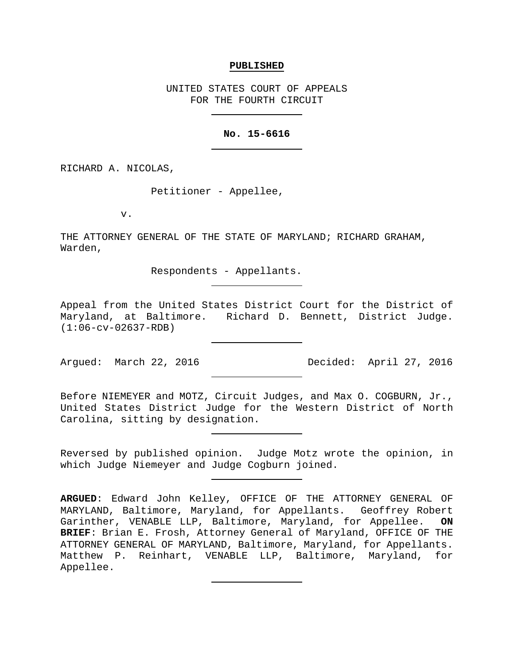### **PUBLISHED**

UNITED STATES COURT OF APPEALS FOR THE FOURTH CIRCUIT

## **No. 15-6616**

RICHARD A. NICOLAS,

Petitioner - Appellee,

v.

THE ATTORNEY GENERAL OF THE STATE OF MARYLAND; RICHARD GRAHAM, Warden,

Respondents - Appellants.

Appeal from the United States District Court for the District of Maryland, at Baltimore. Richard D. Bennett, District Judge. (1:06-cv-02637-RDB)

Argued: March 22, 2016 Decided: April 27, 2016

Before NIEMEYER and MOTZ, Circuit Judges, and Max O. COGBURN, Jr., United States District Judge for the Western District of North Carolina, sitting by designation.

Reversed by published opinion. Judge Motz wrote the opinion, in which Judge Niemeyer and Judge Cogburn joined.

**ARGUED**: Edward John Kelley, OFFICE OF THE ATTORNEY GENERAL OF MARYLAND, Baltimore, Maryland, for Appellants. Geoffrey Robert<br>Garinther, VENABLE LLP, Baltimore, Maryland, for Appellee. ON Garinther, VENABLE LLP, Baltimore, Maryland, for Appellee. **BRIEF**: Brian E. Frosh, Attorney General of Maryland, OFFICE OF THE ATTORNEY GENERAL OF MARYLAND, Baltimore, Maryland, for Appellants. Matthew P. Reinhart, VENABLE LLP, Baltimore, Maryland, for Appellee.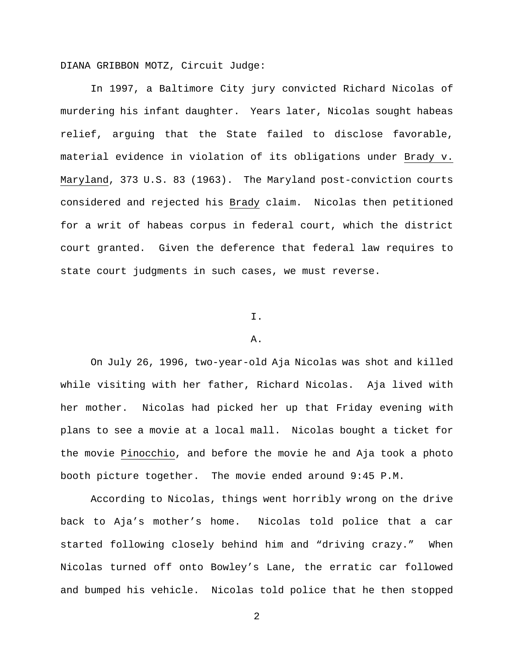DIANA GRIBBON MOTZ, Circuit Judge:

In 1997, a Baltimore City jury convicted Richard Nicolas of murdering his infant daughter. Years later, Nicolas sought habeas relief, arguing that the State failed to disclose favorable, material evidence in violation of its obligations under Brady v. Maryland, 373 U.S. 83 (1963). The Maryland post-conviction courts considered and rejected his Brady claim. Nicolas then petitioned for a writ of habeas corpus in federal court, which the district court granted. Given the deference that federal law requires to state court judgments in such cases, we must reverse.

# I.

#### A.

On July 26, 1996, two-year-old Aja Nicolas was shot and killed while visiting with her father, Richard Nicolas. Aja lived with her mother. Nicolas had picked her up that Friday evening with plans to see a movie at a local mall. Nicolas bought a ticket for the movie Pinocchio, and before the movie he and Aja took a photo booth picture together. The movie ended around 9:45 P.M.

According to Nicolas, things went horribly wrong on the drive back to Aja's mother's home. Nicolas told police that a car started following closely behind him and "driving crazy." When Nicolas turned off onto Bowley's Lane, the erratic car followed and bumped his vehicle. Nicolas told police that he then stopped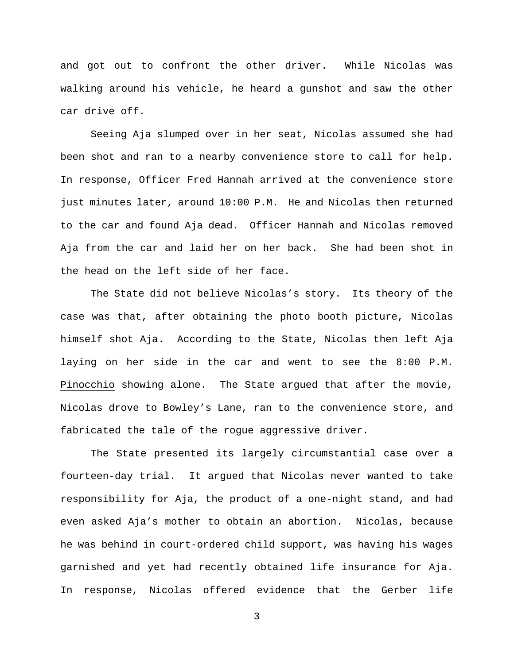and got out to confront the other driver. While Nicolas was walking around his vehicle, he heard a gunshot and saw the other car drive off.

Seeing Aja slumped over in her seat, Nicolas assumed she had been shot and ran to a nearby convenience store to call for help. In response, Officer Fred Hannah arrived at the convenience store just minutes later, around 10:00 P.M. He and Nicolas then returned to the car and found Aja dead. Officer Hannah and Nicolas removed Aja from the car and laid her on her back. She had been shot in the head on the left side of her face.

The State did not believe Nicolas's story. Its theory of the case was that, after obtaining the photo booth picture, Nicolas himself shot Aja. According to the State, Nicolas then left Aja laying on her side in the car and went to see the 8:00 P.M. Pinocchio showing alone. The State argued that after the movie, Nicolas drove to Bowley's Lane, ran to the convenience store, and fabricated the tale of the rogue aggressive driver.

The State presented its largely circumstantial case over a fourteen-day trial. It argued that Nicolas never wanted to take responsibility for Aja, the product of a one-night stand, and had even asked Aja's mother to obtain an abortion. Nicolas, because he was behind in court-ordered child support, was having his wages garnished and yet had recently obtained life insurance for Aja. In response, Nicolas offered evidence that the Gerber life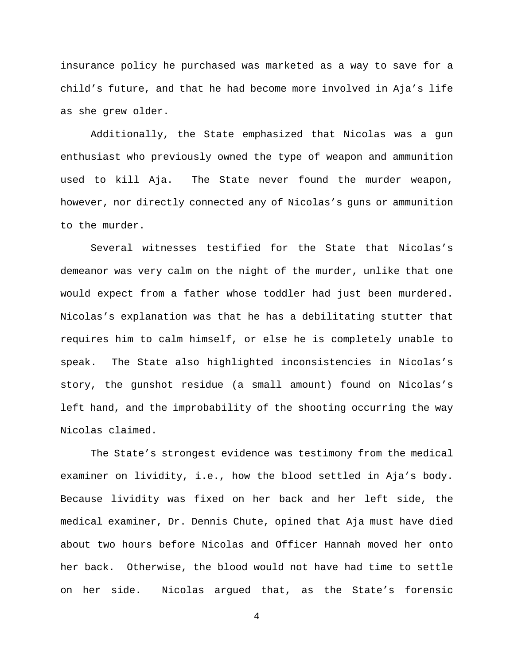insurance policy he purchased was marketed as a way to save for a child's future, and that he had become more involved in Aja's life as she grew older.

Additionally, the State emphasized that Nicolas was a gun enthusiast who previously owned the type of weapon and ammunition used to kill Aja. The State never found the murder weapon, however, nor directly connected any of Nicolas's guns or ammunition to the murder.

Several witnesses testified for the State that Nicolas's demeanor was very calm on the night of the murder, unlike that one would expect from a father whose toddler had just been murdered. Nicolas's explanation was that he has a debilitating stutter that requires him to calm himself, or else he is completely unable to speak. The State also highlighted inconsistencies in Nicolas's story, the gunshot residue (a small amount) found on Nicolas's left hand, and the improbability of the shooting occurring the way Nicolas claimed.

The State's strongest evidence was testimony from the medical examiner on lividity, i.e., how the blood settled in Aja's body. Because lividity was fixed on her back and her left side, the medical examiner, Dr. Dennis Chute, opined that Aja must have died about two hours before Nicolas and Officer Hannah moved her onto her back. Otherwise, the blood would not have had time to settle on her side. Nicolas argued that, as the State's forensic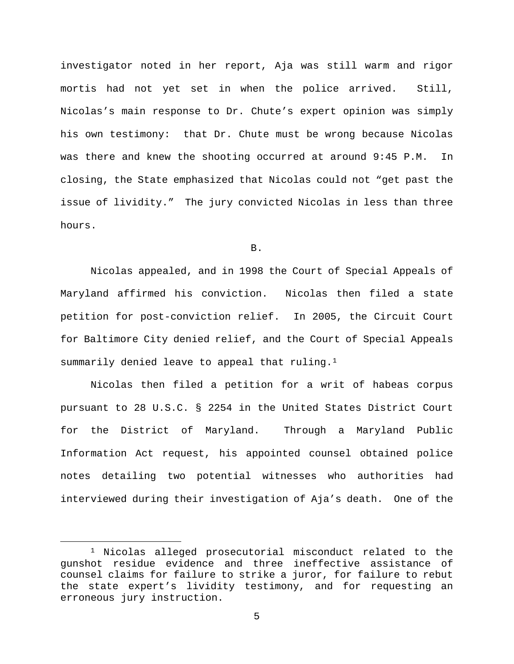investigator noted in her report, Aja was still warm and rigor mortis had not yet set in when the police arrived. Still, Nicolas's main response to Dr. Chute's expert opinion was simply his own testimony: that Dr. Chute must be wrong because Nicolas was there and knew the shooting occurred at around 9:45 P.M. In closing, the State emphasized that Nicolas could not "get past the issue of lividity." The jury convicted Nicolas in less than three hours.

## B.

Nicolas appealed, and in 1998 the Court of Special Appeals of Maryland affirmed his conviction. Nicolas then filed a state petition for post-conviction relief. In 2005, the Circuit Court for Baltimore City denied relief, and the Court of Special Appeals summarily denied leave to appeal that ruling.<sup>1</sup>

Nicolas then filed a petition for a writ of habeas corpus pursuant to 28 U.S.C. § 2254 in the United States District Court for the District of Maryland. Through a Maryland Public Information Act request, his appointed counsel obtained police notes detailing two potential witnesses who authorities had interviewed during their investigation of Aja's death. One of the

<span id="page-4-0"></span> <sup>1</sup> Nicolas alleged prosecutorial misconduct related to the gunshot residue evidence and three ineffective assistance of counsel claims for failure to strike a juror, for failure to rebut the state expert's lividity testimony, and for requesting an erroneous jury instruction.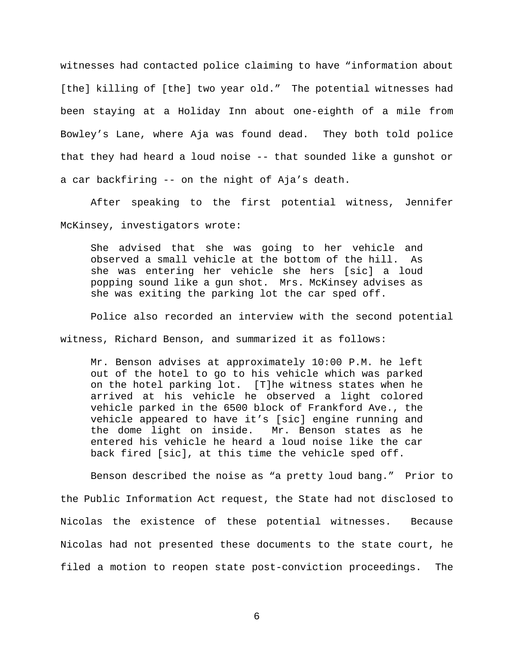witnesses had contacted police claiming to have "information about [the] killing of [the] two year old." The potential witnesses had been staying at a Holiday Inn about one-eighth of a mile from Bowley's Lane, where Aja was found dead. They both told police that they had heard a loud noise -- that sounded like a gunshot or a car backfiring -- on the night of Aja's death.

After speaking to the first potential witness, Jennifer McKinsey, investigators wrote:

She advised that she was going to her vehicle and observed a small vehicle at the bottom of the hill. As she was entering her vehicle she hers [sic] a loud popping sound like a gun shot. Mrs. McKinsey advises as she was exiting the parking lot the car sped off.

Police also recorded an interview with the second potential

witness, Richard Benson, and summarized it as follows:

Mr. Benson advises at approximately 10:00 P.M. he left out of the hotel to go to his vehicle which was parked on the hotel parking lot. [T]he witness states when he arrived at his vehicle he observed a light colored vehicle parked in the 6500 block of Frankford Ave., the vehicle appeared to have it's [sic] engine running and the dome light on inside. Mr. Benson states as he entered his vehicle he heard a loud noise like the car back fired [sic], at this time the vehicle sped off.

Benson described the noise as "a pretty loud bang." Prior to the Public Information Act request, the State had not disclosed to Nicolas the existence of these potential witnesses. Because Nicolas had not presented these documents to the state court, he filed a motion to reopen state post-conviction proceedings. The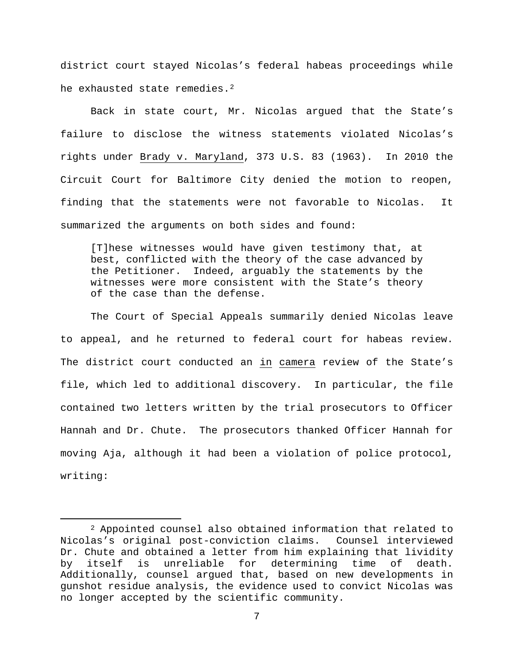district court stayed Nicolas's federal habeas proceedings while he exhausted state remedies.<sup>[2](#page-6-0)</sup>

Back in state court, Mr. Nicolas argued that the State's failure to disclose the witness statements violated Nicolas's rights under Brady v. Maryland, 373 U.S. 83 (1963). In 2010 the Circuit Court for Baltimore City denied the motion to reopen, finding that the statements were not favorable to Nicolas. It summarized the arguments on both sides and found:

[T]hese witnesses would have given testimony that, at best, conflicted with the theory of the case advanced by the Petitioner. Indeed, arguably the statements by the witnesses were more consistent with the State's theory of the case than the defense.

The Court of Special Appeals summarily denied Nicolas leave to appeal, and he returned to federal court for habeas review. The district court conducted an in camera review of the State's file, which led to additional discovery. In particular, the file contained two letters written by the trial prosecutors to Officer Hannah and Dr. Chute. The prosecutors thanked Officer Hannah for moving Aja, although it had been a violation of police protocol, writing:

<span id="page-6-0"></span> <sup>2</sup> Appointed counsel also obtained information that related to Nicolas's original post-conviction claims. Counsel interviewed Dr. Chute and obtained a letter from him explaining that lividity<br>by itself is unreliable for determining time of death. by itself is unreliable for determining time Additionally, counsel argued that, based on new developments in gunshot residue analysis, the evidence used to convict Nicolas was no longer accepted by the scientific community.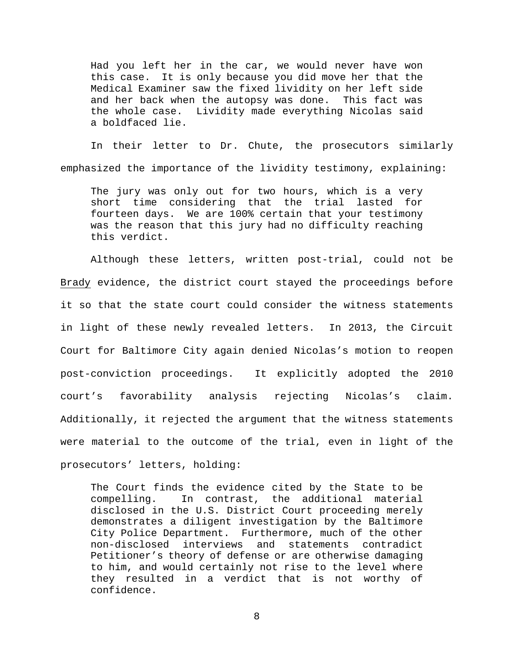Had you left her in the car, we would never have won this case. It is only because you did move her that the Medical Examiner saw the fixed lividity on her left side and her back when the autopsy was done. This fact was the whole case. Lividity made everything Nicolas said a boldfaced lie.

In their letter to Dr. Chute, the prosecutors similarly emphasized the importance of the lividity testimony, explaining:

The jury was only out for two hours, which is a very short time considering that the trial lasted for fourteen days. We are 100% certain that your testimony was the reason that this jury had no difficulty reaching this verdict.

Although these letters, written post-trial, could not be Brady evidence, the district court stayed the proceedings before it so that the state court could consider the witness statements in light of these newly revealed letters. In 2013, the Circuit Court for Baltimore City again denied Nicolas's motion to reopen post-conviction proceedings. It explicitly adopted the 2010 court's favorability analysis rejecting Nicolas's claim. Additionally, it rejected the argument that the witness statements were material to the outcome of the trial, even in light of the prosecutors' letters, holding:

The Court finds the evidence cited by the State to be compelling. In contrast, the additional material disclosed in the U.S. District Court proceeding merely demonstrates a diligent investigation by the Baltimore City Police Department. Furthermore, much of the other non-disclosed interviews and statements contradict Petitioner's theory of defense or are otherwise damaging to him, and would certainly not rise to the level where they resulted in a verdict that is not worthy of confidence.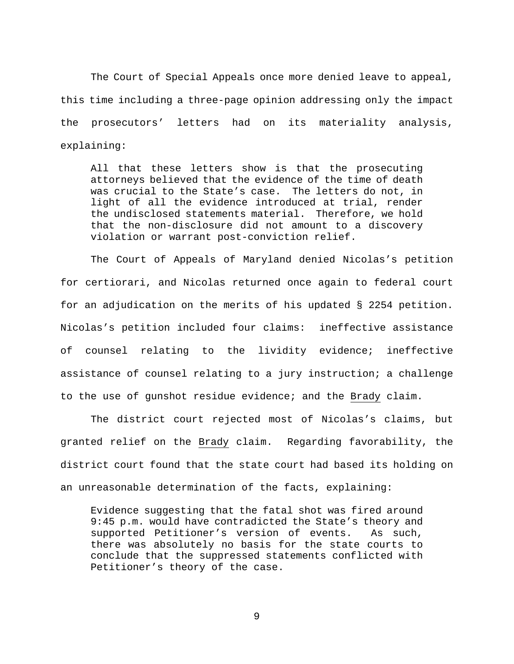The Court of Special Appeals once more denied leave to appeal, this time including a three-page opinion addressing only the impact the prosecutors' letters had on its materiality analysis, explaining:

All that these letters show is that the prosecuting attorneys believed that the evidence of the time of death was crucial to the State's case. The letters do not, in light of all the evidence introduced at trial, render the undisclosed statements material. Therefore, we hold that the non-disclosure did not amount to a discovery violation or warrant post-conviction relief.

The Court of Appeals of Maryland denied Nicolas's petition for certiorari, and Nicolas returned once again to federal court for an adjudication on the merits of his updated § 2254 petition. Nicolas's petition included four claims: ineffective assistance of counsel relating to the lividity evidence; ineffective assistance of counsel relating to a jury instruction; a challenge to the use of gunshot residue evidence; and the Brady claim.

The district court rejected most of Nicolas's claims, but granted relief on the Brady claim. Regarding favorability, the district court found that the state court had based its holding on an unreasonable determination of the facts, explaining:

Evidence suggesting that the fatal shot was fired around 9:45 p.m. would have contradicted the State's theory and supported Petitioner's version of events. As such, there was absolutely no basis for the state courts to conclude that the suppressed statements conflicted with Petitioner's theory of the case.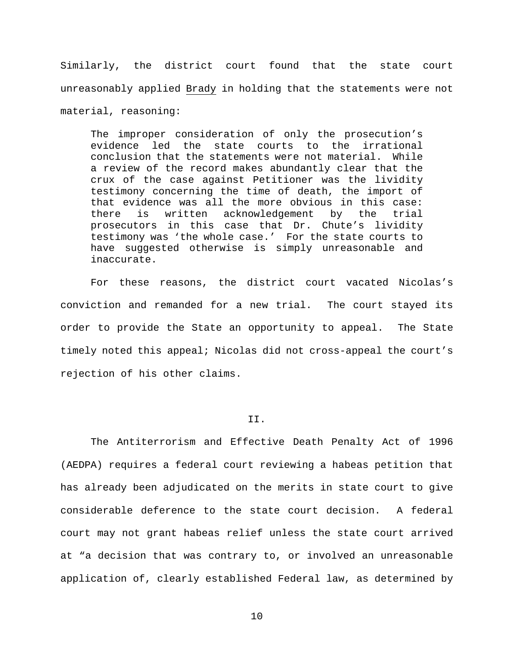Similarly, the district court found that the state court unreasonably applied Brady in holding that the statements were not material, reasoning:

The improper consideration of only the prosecution's evidence led the state courts to the irrational conclusion that the statements were not material. While a review of the record makes abundantly clear that the crux of the case against Petitioner was the lividity testimony concerning the time of death, the import of that evidence was all the more obvious in this case: there is written acknowledgement by the trial prosecutors in this case that Dr. Chute's lividity testimony was 'the whole case.' For the state courts to have suggested otherwise is simply unreasonable and inaccurate.

For these reasons, the district court vacated Nicolas's conviction and remanded for a new trial. The court stayed its order to provide the State an opportunity to appeal. The State timely noted this appeal; Nicolas did not cross-appeal the court's rejection of his other claims.

# II.

The Antiterrorism and Effective Death Penalty Act of 1996 (AEDPA) requires a federal court reviewing a habeas petition that has already been adjudicated on the merits in state court to give considerable deference to the state court decision. A federal court may not grant habeas relief unless the state court arrived at "a decision that was contrary to, or involved an unreasonable application of, clearly established Federal law, as determined by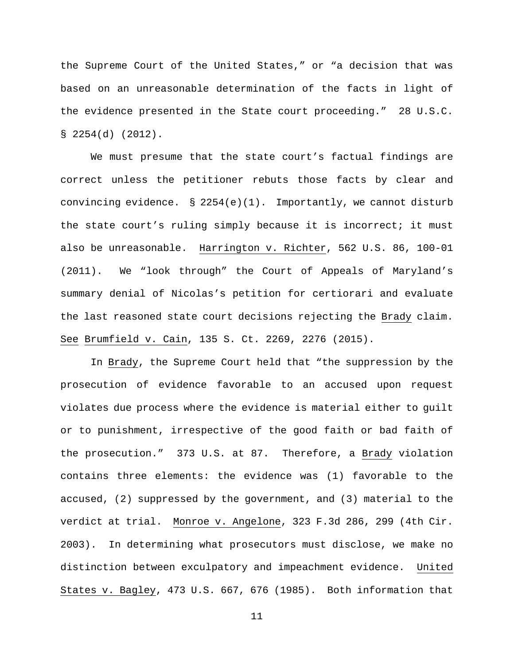the Supreme Court of the United States," or "a decision that was based on an unreasonable determination of the facts in light of the evidence presented in the State court proceeding." 28 U.S.C.  $$2254(d) (2012).$ 

We must presume that the state court's factual findings are correct unless the petitioner rebuts those facts by clear and convincing evidence. § 2254(e)(1). Importantly, we cannot disturb the state court's ruling simply because it is incorrect; it must also be unreasonable. Harrington v. Richter, 562 U.S. 86, 100-01 (2011). We "look through" the Court of Appeals of Maryland's summary denial of Nicolas's petition for certiorari and evaluate the last reasoned state court decisions rejecting the Brady claim. See Brumfield v. Cain, 135 S. Ct. 2269, 2276 (2015).

In Brady, the Supreme Court held that "the suppression by the prosecution of evidence favorable to an accused upon request violates due process where the evidence is material either to guilt or to punishment, irrespective of the good faith or bad faith of the prosecution." 373 U.S. at 87. Therefore, a Brady violation contains three elements: the evidence was (1) favorable to the accused, (2) suppressed by the government, and (3) material to the verdict at trial. Monroe v. Angelone, 323 F.3d 286, 299 (4th Cir. 2003). In determining what prosecutors must disclose, we make no distinction between exculpatory and impeachment evidence. United States v. Bagley, 473 U.S. 667, 676 (1985). Both information that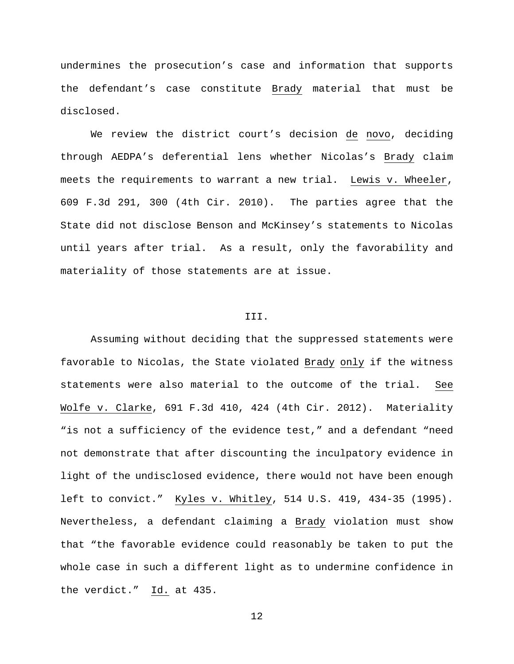undermines the prosecution's case and information that supports the defendant's case constitute Brady material that must be disclosed.

We review the district court's decision de novo, deciding through AEDPA's deferential lens whether Nicolas's Brady claim meets the requirements to warrant a new trial. Lewis v. Wheeler, 609 F.3d 291, 300 (4th Cir. 2010). The parties agree that the State did not disclose Benson and McKinsey's statements to Nicolas until years after trial. As a result, only the favorability and materiality of those statements are at issue.

### III.

Assuming without deciding that the suppressed statements were favorable to Nicolas, the State violated Brady only if the witness statements were also material to the outcome of the trial. See Wolfe v. Clarke, 691 F.3d 410, 424 (4th Cir. 2012). Materiality "is not a sufficiency of the evidence test," and a defendant "need not demonstrate that after discounting the inculpatory evidence in light of the undisclosed evidence, there would not have been enough left to convict." Kyles v. Whitley, 514 U.S. 419, 434-35 (1995). Nevertheless, a defendant claiming a Brady violation must show that "the favorable evidence could reasonably be taken to put the whole case in such a different light as to undermine confidence in the verdict." Id. at 435.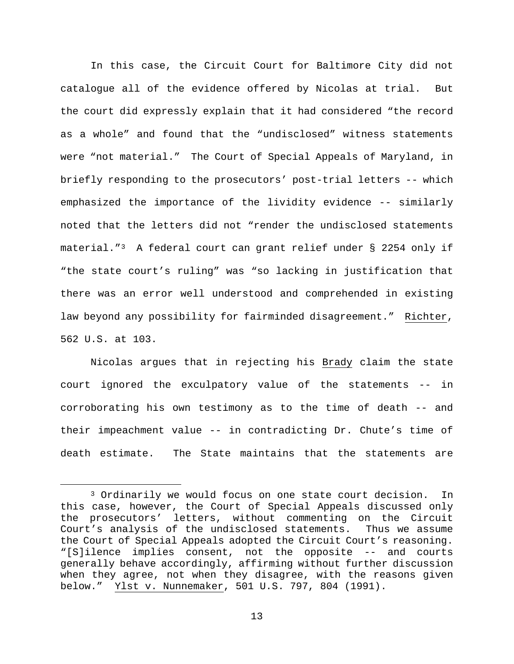In this case, the Circuit Court for Baltimore City did not catalogue all of the evidence offered by Nicolas at trial. But the court did expressly explain that it had considered "the record as a whole" and found that the "undisclosed" witness statements were "not material." The Court of Special Appeals of Maryland, in briefly responding to the prosecutors' post-trial letters -- which emphasized the importance of the lividity evidence -- similarly noted that the letters did not "render the undisclosed statements material."[3](#page-12-0) A federal court can grant relief under § 2254 only if "the state court's ruling" was "so lacking in justification that there was an error well understood and comprehended in existing law beyond any possibility for fairminded disagreement." Richter, 562 U.S. at 103.

Nicolas argues that in rejecting his Brady claim the state court ignored the exculpatory value of the statements -- in corroborating his own testimony as to the time of death -- and their impeachment value -- in contradicting Dr. Chute's time of death estimate. The State maintains that the statements are

<span id="page-12-0"></span> <sup>3</sup> Ordinarily we would focus on one state court decision. In this case, however, the Court of Special Appeals discussed only the prosecutors' letters, without commenting on the Circuit<br>Court's analysis of the undisclosed statements. Thus we assume Court's analysis of the undisclosed statements. the Court of Special Appeals adopted the Circuit Court's reasoning. "[S]ilence implies consent, not the opposite -- and courts generally behave accordingly, affirming without further discussion when they agree, not when they disagree, with the reasons given below." Ylst v. Nunnemaker, 501 U.S. 797, 804 (1991).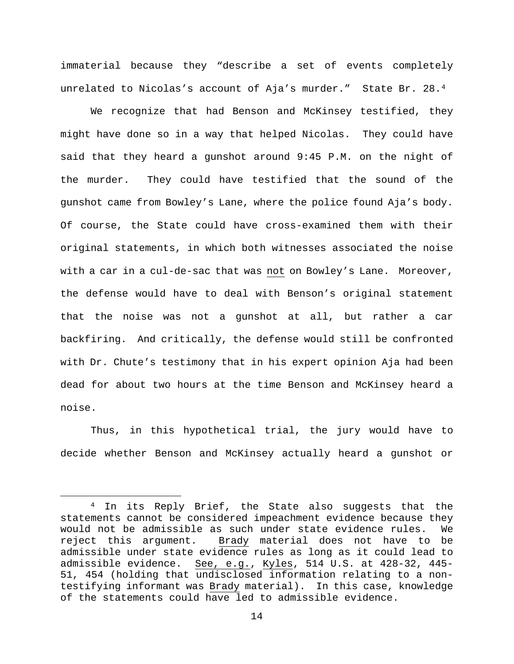immaterial because they "describe a set of events completely unrelated to Nicolas's account of Aja's murder." State Br. 28.[4](#page-13-0)

We recognize that had Benson and McKinsey testified, they might have done so in a way that helped Nicolas. They could have said that they heard a gunshot around 9:45 P.M. on the night of the murder. They could have testified that the sound of the gunshot came from Bowley's Lane, where the police found Aja's body. Of course, the State could have cross-examined them with their original statements, in which both witnesses associated the noise with a car in a cul-de-sac that was not on Bowley's Lane. Moreover, the defense would have to deal with Benson's original statement that the noise was not a gunshot at all, but rather a car backfiring. And critically, the defense would still be confronted with Dr. Chute's testimony that in his expert opinion Aja had been dead for about two hours at the time Benson and McKinsey heard a noise.

Thus, in this hypothetical trial, the jury would have to decide whether Benson and McKinsey actually heard a gunshot or

<span id="page-13-0"></span><sup>&</sup>lt;sup>4</sup> In its Reply Brief, the State also suggests that the statements cannot be considered impeachment evidence because they would not be admissible as such under state evidence rules. We<br>reject this arqument. Brady material does not have to be Brady material does not have to be admissible under state evidence rules as long as it could lead to admissible evidence. See, e.g., Kyles, 514 U.S. at 428-32, 445- 51, 454 (holding that undisclosed information relating to a nontestifying informant was Brady material). In this case, knowledge of the statements could have led to admissible evidence.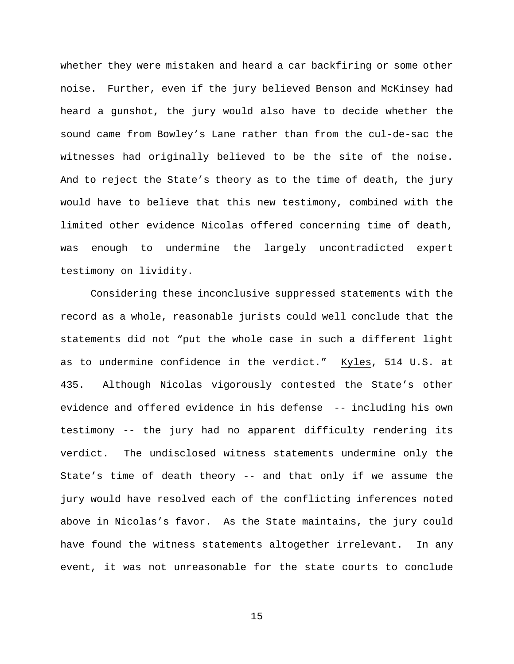whether they were mistaken and heard a car backfiring or some other noise. Further, even if the jury believed Benson and McKinsey had heard a gunshot, the jury would also have to decide whether the sound came from Bowley's Lane rather than from the cul-de-sac the witnesses had originally believed to be the site of the noise. And to reject the State's theory as to the time of death, the jury would have to believe that this new testimony, combined with the limited other evidence Nicolas offered concerning time of death, was enough to undermine the largely uncontradicted expert testimony on lividity.

Considering these inconclusive suppressed statements with the record as a whole, reasonable jurists could well conclude that the statements did not "put the whole case in such a different light as to undermine confidence in the verdict." Kyles, 514 U.S. at 435. Although Nicolas vigorously contested the State's other evidence and offered evidence in his defense -- including his own testimony -- the jury had no apparent difficulty rendering its verdict. The undisclosed witness statements undermine only the State's time of death theory -- and that only if we assume the jury would have resolved each of the conflicting inferences noted above in Nicolas's favor. As the State maintains, the jury could have found the witness statements altogether irrelevant. In any event, it was not unreasonable for the state courts to conclude